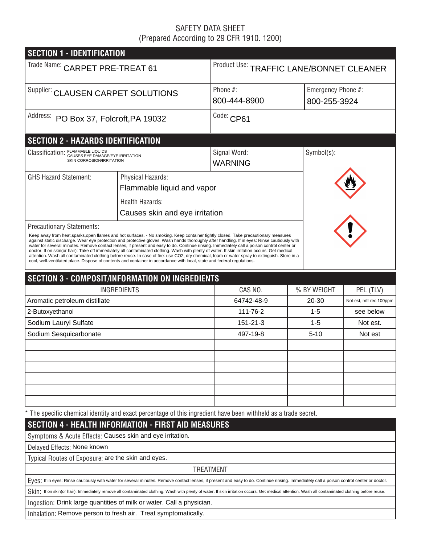## SAFETY DATA SHEET (Prepared According to 29 CFR 1910. 1200)

| <b>SECTION 1 - IDENTIFICATION</b>                                                                              |                                                                                                                                                                                                                                                                                                                                                                                                                                                                                                                                                                                                                                                                                                                                                                                                                                                                 |                                          |             |                                    |  |  |  |
|----------------------------------------------------------------------------------------------------------------|-----------------------------------------------------------------------------------------------------------------------------------------------------------------------------------------------------------------------------------------------------------------------------------------------------------------------------------------------------------------------------------------------------------------------------------------------------------------------------------------------------------------------------------------------------------------------------------------------------------------------------------------------------------------------------------------------------------------------------------------------------------------------------------------------------------------------------------------------------------------|------------------------------------------|-------------|------------------------------------|--|--|--|
| Trade Name: CARPET PRE-TREAT 61                                                                                |                                                                                                                                                                                                                                                                                                                                                                                                                                                                                                                                                                                                                                                                                                                                                                                                                                                                 | Product Use: TRAFFIC LANE/BONNET CLEANER |             |                                    |  |  |  |
| Supplier: CLAUSEN CARPET SOLUTIONS                                                                             |                                                                                                                                                                                                                                                                                                                                                                                                                                                                                                                                                                                                                                                                                                                                                                                                                                                                 | Phone $#$ :<br>800-444-8900              |             | Emergency Phone #:<br>800-255-3924 |  |  |  |
| Address: PO Box 37, Folcroft, PA 19032                                                                         |                                                                                                                                                                                                                                                                                                                                                                                                                                                                                                                                                                                                                                                                                                                                                                                                                                                                 | Code: CP61                               |             |                                    |  |  |  |
| <b>SECTION 2 - HAZARDS IDENTIFICATION</b>                                                                      |                                                                                                                                                                                                                                                                                                                                                                                                                                                                                                                                                                                                                                                                                                                                                                                                                                                                 |                                          |             |                                    |  |  |  |
| Classification: FLAMMABLE LIQUIDS<br>CAUSES EYE DAMAGE/EYE IRRITATION<br>SKIN CORROSION/IRRITATION             |                                                                                                                                                                                                                                                                                                                                                                                                                                                                                                                                                                                                                                                                                                                                                                                                                                                                 | Signal Word:<br><b>WARNING</b>           | Symbol(s):  |                                    |  |  |  |
| <b>GHS Hazard Statement:</b>                                                                                   | Physical Hazards:<br>Flammable liquid and vapor                                                                                                                                                                                                                                                                                                                                                                                                                                                                                                                                                                                                                                                                                                                                                                                                                 |                                          |             |                                    |  |  |  |
|                                                                                                                | <b>Health Hazards:</b><br>Causes skin and eye irritation                                                                                                                                                                                                                                                                                                                                                                                                                                                                                                                                                                                                                                                                                                                                                                                                        |                                          |             |                                    |  |  |  |
| <b>Precautionary Statements:</b>                                                                               | Keep away from heat, sparks, open flames and hot surfaces. - No smoking. Keep container tightly closed. Take precautionary measures<br>against static discharge. Wear eye protection and protective gloves. Wash hands thoroughly after handling. If in eyes: Rinse cautiously with<br>water for several minutes. Remove contact lenses, if present and easy to do. Continue rinsing. Immediately call a poison control center or<br>doctor. If on skin(or hair): Take off immediately all contaminated clothing. Wash with plenty of water. If skin irritation occurs: Get medical<br>attention. Wash all contaminated clothing before reuse. In case of fire: use CO2, dry chemical, foam or water spray to extinguish. Store in a<br>cool, well-ventilated place. Dispose of contents and container in accordance with local, state and federal regulations. |                                          |             |                                    |  |  |  |
|                                                                                                                | <b>SECTION 3 - COMPOSIT/INFORMATION ON INGREDIENTS</b>                                                                                                                                                                                                                                                                                                                                                                                                                                                                                                                                                                                                                                                                                                                                                                                                          |                                          |             |                                    |  |  |  |
|                                                                                                                | <b>INGREDIENTS</b>                                                                                                                                                                                                                                                                                                                                                                                                                                                                                                                                                                                                                                                                                                                                                                                                                                              | CAS NO.                                  | % BY WEIGHT | PEL (TLV)                          |  |  |  |
| Aromatic petroleum distillate                                                                                  |                                                                                                                                                                                                                                                                                                                                                                                                                                                                                                                                                                                                                                                                                                                                                                                                                                                                 | 64742-48-9                               | 20-30       | Not est, mfr rec 100ppm            |  |  |  |
| 2-Butoxyethanol                                                                                                |                                                                                                                                                                                                                                                                                                                                                                                                                                                                                                                                                                                                                                                                                                                                                                                                                                                                 | 111-76-2                                 | $1 - 5$     | see below                          |  |  |  |
| Sodium Lauryl Sulfate                                                                                          |                                                                                                                                                                                                                                                                                                                                                                                                                                                                                                                                                                                                                                                                                                                                                                                                                                                                 | 151-21-3                                 | $1 - 5$     | Not est.                           |  |  |  |
| Sodium Sesquicarbonate                                                                                         |                                                                                                                                                                                                                                                                                                                                                                                                                                                                                                                                                                                                                                                                                                                                                                                                                                                                 | 497-19-8                                 | $5 - 10$    | Not est                            |  |  |  |
|                                                                                                                |                                                                                                                                                                                                                                                                                                                                                                                                                                                                                                                                                                                                                                                                                                                                                                                                                                                                 |                                          |             |                                    |  |  |  |
|                                                                                                                |                                                                                                                                                                                                                                                                                                                                                                                                                                                                                                                                                                                                                                                                                                                                                                                                                                                                 |                                          |             |                                    |  |  |  |
|                                                                                                                |                                                                                                                                                                                                                                                                                                                                                                                                                                                                                                                                                                                                                                                                                                                                                                                                                                                                 |                                          |             |                                    |  |  |  |
|                                                                                                                |                                                                                                                                                                                                                                                                                                                                                                                                                                                                                                                                                                                                                                                                                                                                                                                                                                                                 |                                          |             |                                    |  |  |  |
|                                                                                                                |                                                                                                                                                                                                                                                                                                                                                                                                                                                                                                                                                                                                                                                                                                                                                                                                                                                                 |                                          |             |                                    |  |  |  |
| * The specific chemical identity and exact percentage of this ingredient have been withheld as a trade secret. |                                                                                                                                                                                                                                                                                                                                                                                                                                                                                                                                                                                                                                                                                                                                                                                                                                                                 |                                          |             |                                    |  |  |  |
|                                                                                                                | <b>SECTION 4 - HEALTH INFORMATION - FIRST AID MEASURES</b>                                                                                                                                                                                                                                                                                                                                                                                                                                                                                                                                                                                                                                                                                                                                                                                                      |                                          |             |                                    |  |  |  |
| Symptoms & Acute Effects: Causes skin and eye irritation.                                                      |                                                                                                                                                                                                                                                                                                                                                                                                                                                                                                                                                                                                                                                                                                                                                                                                                                                                 |                                          |             |                                    |  |  |  |
| Delayed Effects: None known                                                                                    |                                                                                                                                                                                                                                                                                                                                                                                                                                                                                                                                                                                                                                                                                                                                                                                                                                                                 |                                          |             |                                    |  |  |  |
| Typical Routes of Exposure: are the skin and eyes.                                                             |                                                                                                                                                                                                                                                                                                                                                                                                                                                                                                                                                                                                                                                                                                                                                                                                                                                                 |                                          |             |                                    |  |  |  |
|                                                                                                                |                                                                                                                                                                                                                                                                                                                                                                                                                                                                                                                                                                                                                                                                                                                                                                                                                                                                 | <b>TREATMENT</b>                         |             |                                    |  |  |  |
|                                                                                                                | EVeS: If in eyes: Rinse cautiously with water for several minutes. Remove contact lenses, if present and easy to do. Continue rinsing. Immediately call a poison control center or doctor.                                                                                                                                                                                                                                                                                                                                                                                                                                                                                                                                                                                                                                                                      |                                          |             |                                    |  |  |  |

Skin: If on skin(or hair): Immediately remove all contaminated clothing. Wash with plenty of water. If skin irritation occurs: Get medical attention. Wash all contaminated clothing before reuse.

Ingestion: Drink large quantities of milk or water. Call a physician.

Inhalation: Remove person to fresh air. Treat symptomatically.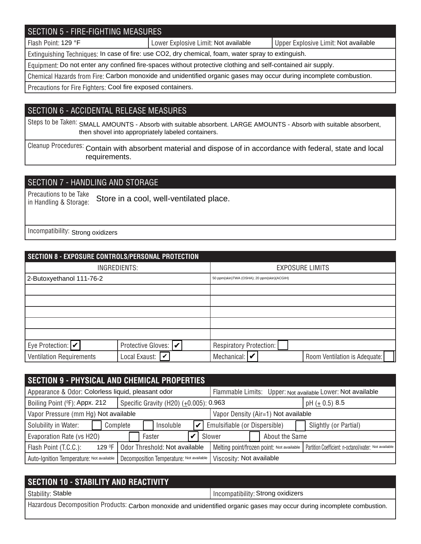## SECTION 5 - FIRE-FIGHTING MEASURES

Flash Point: 129 °F **Note and Aude Communist Communist Club** Limit: Not available Not available Not available

Extinguishing Techniques: In case of fire: use CO2, dry chemical, foam, water spray to extinguish.

Equipment: Do not enter any confined fire-spaces without protective clothing and self-contained air supply.

Chemical Hazards from Fire: Carbon monoxide and unidentified organic gases may occur during incomplete combustion.

Precautions for Fire Fighters: Cool fire exposed containers.

#### SECTION 6 - ACCIDENTAL RELEASE MEASURES

Steps to be Taken: SMALL AMOUNTS - Absorb with suitable absorbent. LARGE AMOUNTS - Absorb with suitable absorbent, then shovel into appropriately labeled containers.

Cleanup Procedures: Contain with absorbent material and dispose of in accordance with federal, state and local requirements.

## SECTION 7 - HANDLING AND STORAGE

Precautions to be Take in Handling & Storage: Store in a cool, well-ventilated place.

Incompatibility: Strong oxidizers

|                                 | SECTION 8 - EXPOSURE CONTROLS/PERSONAL PROTECTION |                              |                                             |                               |  |  |  |
|---------------------------------|---------------------------------------------------|------------------------------|---------------------------------------------|-------------------------------|--|--|--|
| INGREDIENTS:                    |                                                   |                              | <b>EXPOSURE LIMITS</b>                      |                               |  |  |  |
| 2-Butoxyethanol 111-76-2        |                                                   |                              | 50 ppm(skin)TWA (OSHA); 20 ppm(skin)(ACGIH) |                               |  |  |  |
|                                 |                                                   |                              |                                             |                               |  |  |  |
|                                 |                                                   |                              |                                             |                               |  |  |  |
|                                 |                                                   |                              |                                             |                               |  |  |  |
|                                 |                                                   |                              |                                             |                               |  |  |  |
|                                 |                                                   |                              |                                             |                               |  |  |  |
| Eye Protection: $ v $           | Protective Gloves:  ✔                             | Respiratory Protection:      |                                             |                               |  |  |  |
| <b>Ventilation Requirements</b> | Local Exaust: $ \boldsymbol{v}\>$                 | Mechanical: $\triangleright$ |                                             | Room Ventilation is Adequate: |  |  |  |

| <b>SECTION 9 - PHYSICAL AND CHEMICAL PROPERTIES</b> |                                                                             |                                                                                                    |  |  |  |
|-----------------------------------------------------|-----------------------------------------------------------------------------|----------------------------------------------------------------------------------------------------|--|--|--|
| Appearance & Odor: Colorless liquid, pleasant odor  |                                                                             | Flammable Limits: Upper: Not available Lower: Not available                                        |  |  |  |
| Boiling Point (°F): Appx. 212                       | Specific Gravity (H20) (±0.005): 0.963                                      | pH $(\pm 0.5)$ 8.5                                                                                 |  |  |  |
|                                                     | Vapor Pressure (mm Hg) Not available<br>Vapor Density (Air=1) Not available |                                                                                                    |  |  |  |
| Solubility in Water:                                | Insoluble<br>Complete                                                       | Emulsifiable (or Dispersible)<br>Slightly (or Partial)                                             |  |  |  |
| Evaporation Rate (vs H2O)                           | Faster                                                                      | About the Same<br>Slower                                                                           |  |  |  |
| Flash Point (T.C.C.):<br>129 <sup>O</sup> F         | Odor Threshold: Not available                                               | Melting point/frozen point: Not available<br>Partition Coefficient: n-octanol/water: Not available |  |  |  |
| Auto-Ignition Temperature: Not available            | Decomposition Temperature: Not available                                    | Viscosity: Not available                                                                           |  |  |  |

| <b>SECTION 10 - STABILITY AND REACTIVITY</b>                                                                             |                                   |
|--------------------------------------------------------------------------------------------------------------------------|-----------------------------------|
| Stability: Stable                                                                                                        | Incompatibility: Strong oxidizers |
| Hazardous Decomposition Products: Carbon monoxide and unidentified organic gases may occur during incomplete combustion. |                                   |